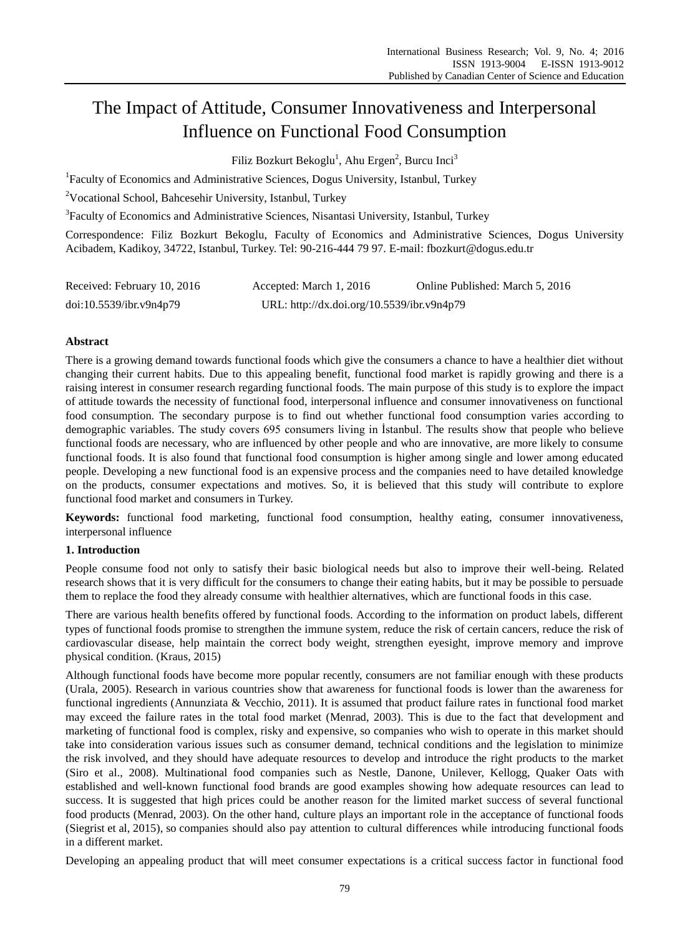# The Impact of Attitude, Consumer Innovativeness and Interpersonal Influence on Functional Food Consumption

Filiz Bozkurt Bekoglu<sup>1</sup>, Ahu Ergen<sup>2</sup>, Burcu Inci<sup>3</sup>

<sup>1</sup>Faculty of Economics and Administrative Sciences, Dogus University, Istanbul, Turkey

<sup>2</sup>Vocational School, Bahcesehir University, Istanbul, Turkey

<sup>3</sup>Faculty of Economics and Administrative Sciences, Nisantasi University, Istanbul, Turkey

Correspondence: Filiz Bozkurt Bekoglu, Faculty of Economics and Administrative Sciences, Dogus University Acibadem, Kadikoy, 34722, Istanbul, Turkey. Tel: 90-216-444 79 97. E-mail: fbozkurt@dogus.edu.tr

| Received: February 10, 2016 | Accepted: March 1, 2016                    | Online Published: March 5, 2016 |
|-----------------------------|--------------------------------------------|---------------------------------|
| doi:10.5539/ibr.v9n4p79     | URL: http://dx.doi.org/10.5539/ibr.v9n4p79 |                                 |

## **Abstract**

There is a growing demand towards functional foods which give the consumers a chance to have a healthier diet without changing their current habits. Due to this appealing benefit, functional food market is rapidly growing and there is a raising interest in consumer research regarding functional foods. The main purpose of this study is to explore the impact of attitude towards the necessity of functional food, interpersonal influence and consumer innovativeness on functional food consumption. The secondary purpose is to find out whether functional food consumption varies according to demographic variables. The study covers 695 consumers living in İstanbul. The results show that people who believe functional foods are necessary, who are influenced by other people and who are innovative, are more likely to consume functional foods. It is also found that functional food consumption is higher among single and lower among educated people. Developing a new functional food is an expensive process and the companies need to have detailed knowledge on the products, consumer expectations and motives. So, it is believed that this study will contribute to explore functional food market and consumers in Turkey.

**Keywords:** functional food marketing, functional food consumption, healthy eating, consumer innovativeness, interpersonal influence

# **1. Introduction**

People consume food not only to satisfy their basic biological needs but also to improve their well-being. Related research shows that it is very difficult for the consumers to change their eating habits, but it may be possible to persuade them to replace the food they already consume with healthier alternatives, which are functional foods in this case.

There are various health benefits offered by functional foods. According to the information on product labels, different types of functional foods promise to strengthen the immune system, reduce the risk of certain cancers, reduce the risk of cardiovascular disease, help maintain the correct body weight, strengthen eyesight, improve memory and improve physical condition. (Kraus, 2015)

Although functional foods have become more popular recently, consumers are not familiar enough with these products (Urala, 2005). Research in various countries show that awareness for functional foods is lower than the awareness for functional ingredients (Annunziata & Vecchio, 2011). It is assumed that product failure rates in functional food market may exceed the failure rates in the total food market (Menrad, 2003). This is due to the fact that development and marketing of functional food is complex, risky and expensive, so companies who wish to operate in this market should take into consideration various issues such as consumer demand, technical conditions and the legislation to minimize the risk involved, and they should have adequate resources to develop and introduce the right products to the market (Siro et al., 2008). Multinational food companies such as Nestle, Danone, Unilever, Kellogg, Quaker Oats with established and well-known functional food brands are good examples showing how adequate resources can lead to success. It is suggested that high prices could be another reason for the limited market success of several functional food products (Menrad, 2003). On the other hand, culture plays an important role in the acceptance of functional foods (Siegrist et al, 2015), so companies should also pay attention to cultural differences while introducing functional foods in a different market.

Developing an appealing product that will meet consumer expectations is a critical success factor in functional food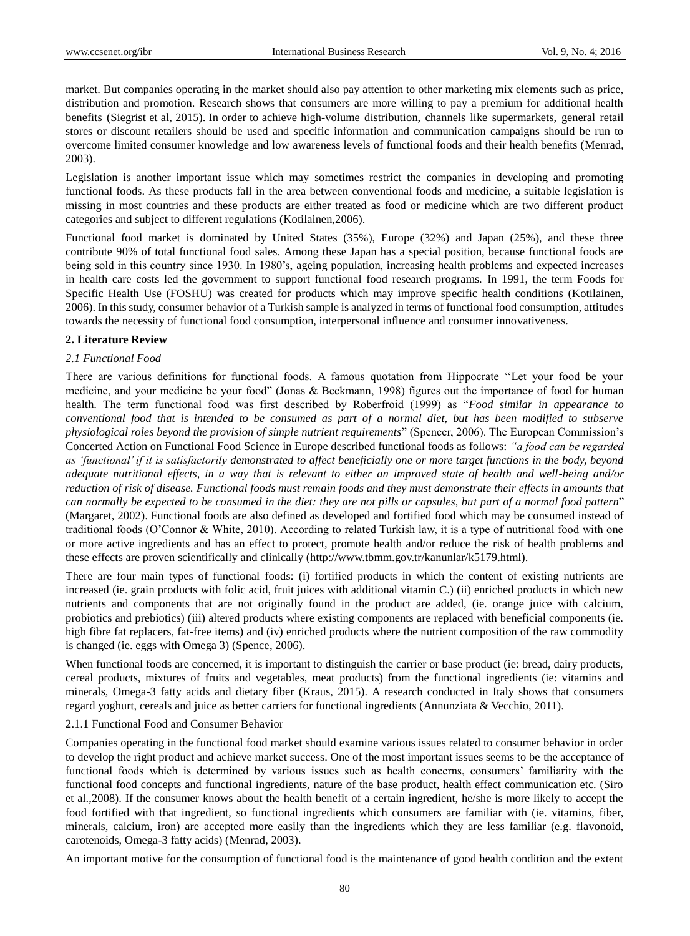market. But companies operating in the market should also pay attention to other marketing mix elements such as price, distribution and promotion. Research shows that consumers are more willing to pay a premium for additional health benefits (Siegrist et al, 2015). In order to achieve high-volume distribution, channels like supermarkets, general retail stores or discount retailers should be used and specific information and communication campaigns should be run to overcome limited consumer knowledge and low awareness levels of functional foods and their health benefits (Menrad, 2003).

Legislation is another important issue which may sometimes restrict the companies in developing and promoting functional foods. As these products fall in the area between conventional foods and medicine, a suitable legislation is missing in most countries and these products are either treated as food or medicine which are two different product categories and subject to different regulations (Kotilainen,2006).

Functional food market is dominated by United States (35%), Europe (32%) and Japan (25%), and these three contribute 90% of total functional food sales. Among these Japan has a special position, because functional foods are being sold in this country since 1930. In 1980's, ageing population, increasing health problems and expected increases in health care costs led the government to support functional food research programs. In 1991, the term Foods for Specific Health Use (FOSHU) was created for products which may improve specific health conditions (Kotilainen, 2006). In this study, consumer behavior of a Turkish sample is analyzed in terms of functional food consumption, attitudes towards the necessity of functional food consumption, interpersonal influence and consumer innovativeness.

#### **2. Literature Review**

## *2.1 Functional Food*

There are various definitions for functional foods. A famous quotation from Hippocrate ''Let your food be your medicine, and your medicine be your food" (Jonas & Beckmann, 1998) figures out the importance of food for human health. The term functional food was first described by Roberfroid (1999) as "*Food similar in appearance to conventional food that is intended to be consumed as part of a normal diet, but has been modified to subserve physiological roles beyond the provision of simple nutrient requirements*" (Spencer, 2006). The European Commission's Concerted Action on Functional Food Science in Europe described functional foods as follows: *"a food can be regarded as 'functional' if it is satisfactorily demonstrated to affect beneficially one or more target functions in the body, beyond adequate nutritional effects, in a way that is relevant to either an improved state of health and well-being and/or reduction of risk of disease. Functional foods must remain foods and they must demonstrate their effects in amounts that can normally be expected to be consumed in the diet: they are not pills or capsules, but part of a normal food pattern*" (Margaret, 2002). Functional foods are also defined as developed and fortified food which may be consumed instead of traditional foods (O'Connor & White, 2010). According to related Turkish law, it is a type of nutritional food with one or more active ingredients and has an effect to protect, promote health and/or reduce the risk of health problems and these effects are proven scientifically and clinically (http://www.tbmm.gov.tr/kanunlar/k5179.html).

There are four main types of functional foods: (i) fortified products in which the content of existing nutrients are increased (ie. grain products with folic acid, fruit juices with additional vitamin C.) (ii) enriched products in which new nutrients and components that are not originally found in the product are added, (ie. orange juice with calcium, probiotics and prebiotics) (iii) altered products where existing components are replaced with beneficial components (ie. high fibre fat replacers, fat-free items) and (iv) enriched products where the nutrient composition of the raw commodity is changed (ie. eggs with Omega 3) (Spence, 2006).

When functional foods are concerned, it is important to distinguish the carrier or base product (ie: bread, dairy products, cereal products, mixtures of fruits and vegetables, meat products) from the functional ingredients (ie: vitamins and minerals, Omega-3 fatty acids and dietary fiber (Kraus, 2015). A research conducted in Italy shows that consumers regard yoghurt, cereals and juice as better carriers for functional ingredients (Annunziata & Vecchio, 2011).

## 2.1.1 Functional Food and Consumer Behavior

Companies operating in the functional food market should examine various issues related to consumer behavior in order to develop the right product and achieve market success. One of the most important issues seems to be the acceptance of functional foods which is determined by various issues such as health concerns, consumers' familiarity with the functional food concepts and functional ingredients, nature of the base product, health effect communication etc. (Siro et al.,2008). If the consumer knows about the health benefit of a certain ingredient, he/she is more likely to accept the food fortified with that ingredient, so functional ingredients which consumers are familiar with (ie. vitamins, fiber, minerals, calcium, iron) are accepted more easily than the ingredients which they are less familiar (e.g. flavonoid, carotenoids, Omega-3 fatty acids) (Menrad, 2003).

An important motive for the consumption of functional food is the maintenance of good health condition and the extent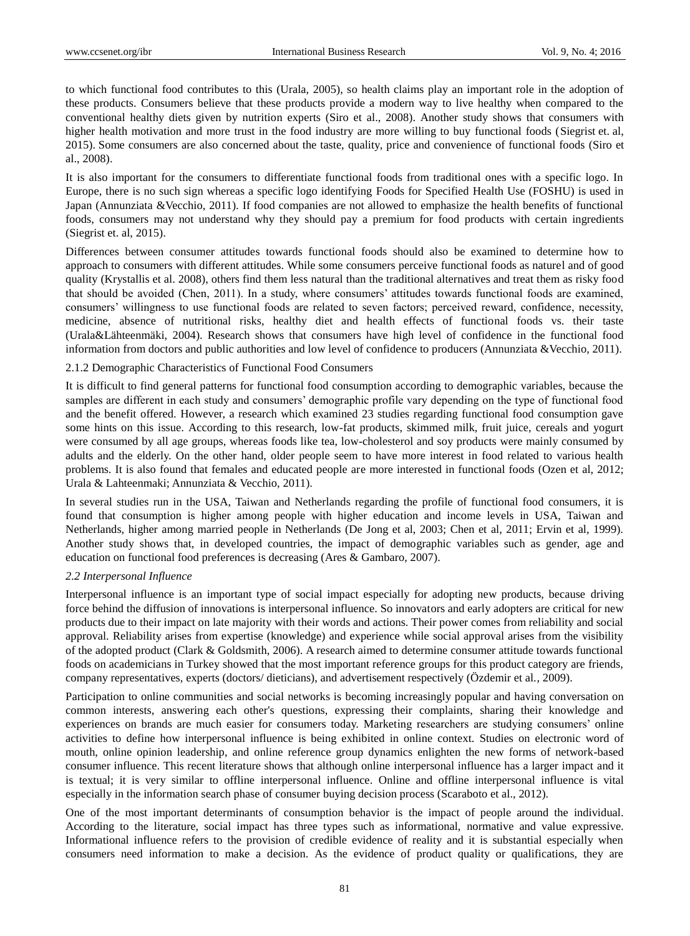to which functional food contributes to this (Urala, 2005), so health claims play an important role in the adoption of these products. Consumers believe that these products provide a modern way to live healthy when compared to the conventional healthy diets given by nutrition experts (Siro et al., 2008). Another study shows that consumers with higher health motivation and more trust in the food industry are more willing to buy functional foods (Siegrist et. al, 2015). Some consumers are also concerned about the taste, quality, price and convenience of functional foods (Siro et al., 2008).

It is also important for the consumers to differentiate functional foods from traditional ones with a specific logo. In Europe, there is no such sign whereas a specific logo identifying Foods for Specified Health Use (FOSHU) is used in Japan (Annunziata &Vecchio, 2011). If food companies are not allowed to emphasize the health benefits of functional foods, consumers may not understand why they should pay a premium for food products with certain ingredients (Siegrist et. al, 2015).

Differences between consumer attitudes towards functional foods should also be examined to determine how to approach to consumers with different attitudes. While some consumers perceive functional foods as naturel and of good quality (Krystallis et al. 2008), others find them less natural than the traditional alternatives and treat them as risky food that should be avoided (Chen, 2011). In a study, where consumers' attitudes towards functional foods are examined, consumers' willingness to use functional foods are related to seven factors; perceived reward, confidence, necessity, medicine, absence of nutritional risks, healthy diet and health effects of functional foods vs. their taste (Urala&Lähteenmäki, 2004). Research shows that consumers have high level of confidence in the functional food information from doctors and public authorities and low level of confidence to producers (Annunziata &Vecchio, 2011).

2.1.2 Demographic Characteristics of Functional Food Consumers

It is difficult to find general patterns for functional food consumption according to demographic variables, because the samples are different in each study and consumers' demographic profile vary depending on the type of functional food and the benefit offered. However, a research which examined 23 studies regarding functional food consumption gave some hints on this issue. According to this research, low-fat products, skimmed milk, fruit juice, cereals and yogurt were consumed by all age groups, whereas foods like tea, low-cholesterol and soy products were mainly consumed by adults and the elderly. On the other hand, older people seem to have more interest in food related to various health problems. It is also found that females and educated people are more interested in functional foods (Ozen et al, 2012; Urala & Lahteenmaki; Annunziata & Vecchio, 2011).

In several studies run in the USA, Taiwan and Netherlands regarding the profile of functional food consumers, it is found that consumption is higher among people with higher education and income levels in USA, Taiwan and Netherlands, higher among married people in Netherlands (De Jong et al, 2003; Chen et al, 2011; Ervin et al, 1999). Another study shows that, in developed countries, the impact of demographic variables such as gender, age and education on functional food preferences is decreasing (Ares & Gambaro, 2007).

## *2.2 Interpersonal Influence*

Interpersonal influence is an important type of social impact especially for adopting new products, because driving force behind the diffusion of innovations is interpersonal influence. So innovators and early adopters are critical for new products due to their impact on late majority with their words and actions. Their power comes from reliability and social approval. Reliability arises from expertise (knowledge) and experience while social approval arises from the visibility of the adopted product (Clark & Goldsmith, 2006). A research aimed to determine consumer attitude towards functional foods on academicians in Turkey showed that the most important reference groups for this product category are friends, company representatives, experts (doctors/ dieticians), and advertisement respectively (Özdemir et al., 2009).

Participation to online communities and social networks is becoming increasingly popular and having conversation on common interests, answering each other's questions, expressing their complaints, sharing their knowledge and experiences on brands are much easier for consumers today. Marketing researchers are studying consumers' online activities to define how interpersonal influence is being exhibited in online context. Studies on electronic word of mouth, online opinion leadership, and online reference group dynamics enlighten the new forms of network-based consumer influence. This recent literature shows that although online interpersonal influence has a larger impact and it is textual; it is very similar to offline interpersonal influence. Online and offline interpersonal influence is vital especially in the information search phase of consumer buying decision process (Scaraboto et al., 2012).

One of the most important determinants of consumption behavior is the impact of people around the individual. According to the literature, social impact has three types such as informational, normative and value expressive. Informational influence refers to the provision of credible evidence of reality and it is substantial especially when consumers need information to make a decision. As the evidence of product quality or qualifications, they are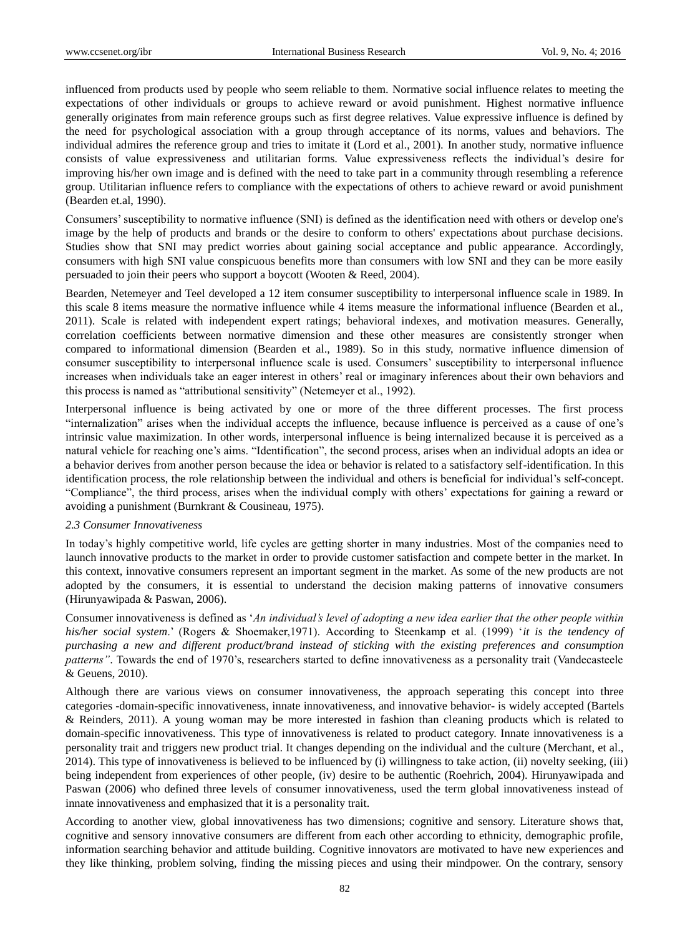influenced from products used by people who seem reliable to them. Normative social influence relates to meeting the expectations of other individuals or groups to achieve reward or avoid punishment. Highest normative influence generally originates from main reference groups such as first degree relatives. Value expressive influence is defined by the need for psychological association with a group through acceptance of its norms, values and behaviors. The individual admires the reference group and tries to imitate it (Lord et al., 2001). In another study, normative influence consists of value expressiveness and utilitarian forms. Value expressiveness reflects the individual's desire for improving his/her own image and is defined with the need to take part in a community through resembling a reference group. Utilitarian influence refers to compliance with the expectations of others to achieve reward or avoid punishment (Bearden et.al, 1990).

Consumers' susceptibility to normative influence (SNI) is defined as the identification need with others or develop one's image by the help of products and brands or the desire to conform to others' expectations about purchase decisions. Studies show that SNI may predict worries about gaining social acceptance and public appearance. Accordingly, consumers with high SNI value conspicuous benefits more than consumers with low SNI and they can be more easily persuaded to join their peers who support a boycott (Wooten & Reed, 2004).

Bearden, Netemeyer and Teel developed a 12 item consumer susceptibility to interpersonal influence scale in 1989. In this scale 8 items measure the normative influence while 4 items measure the informational influence (Bearden et al., 2011). Scale is related with independent expert ratings; behavioral indexes, and motivation measures. Generally, correlation coefficients between normative dimension and these other measures are consistently stronger when compared to informational dimension (Bearden et al., 1989). So in this study, normative influence dimension of consumer susceptibility to interpersonal influence scale is used. Consumers' susceptibility to interpersonal influence increases when individuals take an eager interest in others' real or imaginary inferences about their own behaviors and this process is named as "attributional sensitivity" (Netemeyer et al., 1992).

Interpersonal influence is being activated by one or more of the three different processes. The first process "internalization" arises when the individual accepts the influence, because influence is perceived as a cause of one's intrinsic value maximization. In other words, interpersonal influence is being internalized because it is perceived as a natural vehicle for reaching one's aims. "Identification", the second process, arises when an individual adopts an idea or a behavior derives from another person because the idea or behavior is related to a satisfactory self-identification. In this identification process, the role relationship between the individual and others is beneficial for individual's self-concept. "Compliance", the third process, arises when the individual comply with others' expectations for gaining a reward or avoiding a punishment (Burnkrant & Cousineau, 1975).

#### *2.3 Consumer Innovativeness*

In today's highly competitive world, life cycles are getting shorter in many industries. Most of the companies need to launch innovative products to the market in order to provide customer satisfaction and compete better in the market. In this context, innovative consumers represent an important segment in the market. As some of the new products are not adopted by the consumers, it is essential to understand the decision making patterns of innovative consumers (Hirunyawipada & Paswan, 2006).

Consumer innovativeness is defined as '*An individual's level of adopting a new idea earlier that the other people within his/her social system*.' (Rogers & Shoemaker,1971). According to Steenkamp et al. (1999) '*it is the tendency of purchasing a new and different product/brand instead of sticking with the existing preferences and consumption patterns*". Towards the end of 1970's, researchers started to define innovativeness as a personality trait (Vandecasteele & Geuens, 2010).

Although there are various views on consumer innovativeness, the approach seperating this concept into three categories -domain-specific innovativeness, innate innovativeness, and innovative behavior- is widely accepted (Bartels & Reinders, 2011). A young woman may be more interested in fashion than cleaning products which is related to domain-specific innovativeness. This type of innovativeness is related to product category. Innate innovativeness is a personality trait and triggers new product trial. It changes depending on the individual and the culture (Merchant, et al., 2014). This type of innovativeness is believed to be influenced by (i) willingness to take action, (ii) novelty seeking, (iii) being independent from experiences of other people, (iv) desire to be authentic (Roehrich, 2004). Hirunyawipada and Paswan (2006) who defined three levels of consumer innovativeness, used the term global innovativeness instead of innate innovativeness and emphasized that it is a personality trait.

According to another view, global innovativeness has two dimensions; cognitive and sensory. Literature shows that, cognitive and sensory innovative consumers are different from each other according to ethnicity, demographic profile, information searching behavior and attitude building. Cognitive innovators are motivated to have new experiences and they like thinking, problem solving, finding the missing pieces and using their mindpower. On the contrary, sensory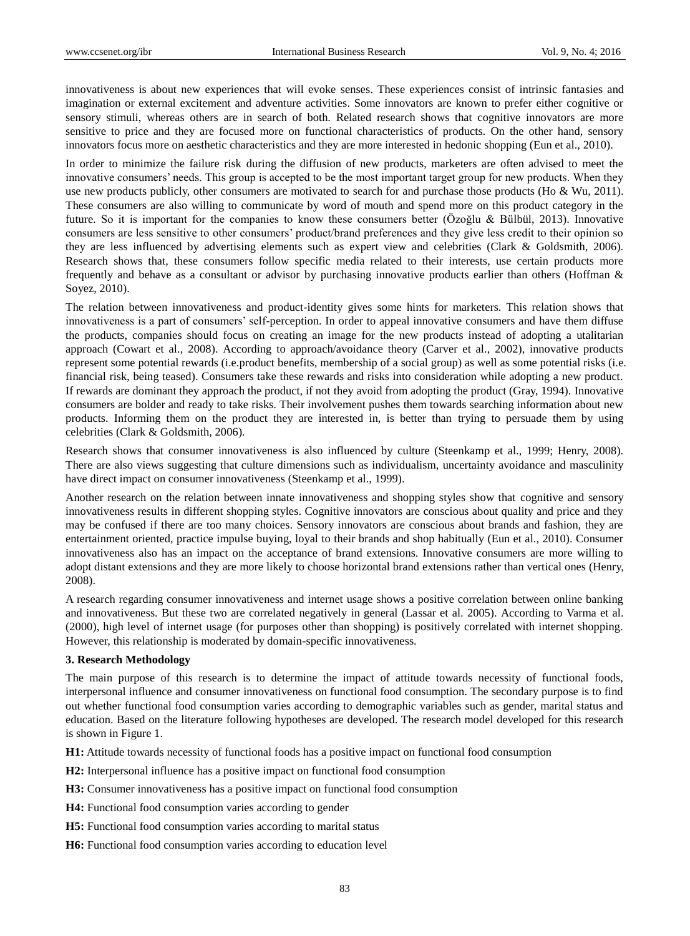innovativeness is about new experiences that will evoke senses. These experiences consist of intrinsic fantasies and imagination or external excitement and adventure activities. Some innovators are known to prefer either cognitive or sensory stimuli, whereas others are in search of both. Related research shows that cognitive innovators are more sensitive to price and they are focused more on functional characteristics of products. On the other hand, sensory innovators focus more on aesthetic characteristics and they are more interested in hedonic shopping (Eun et al., 2010).

In order to minimize the failure risk during the diffusion of new products, marketers are often advised to meet the innovative consumers' needs. This group is accepted to be the most important target group for new products. When they use new products publicly, other consumers are motivated to search for and purchase those products (Ho & Wu, 2011). These consumers are also willing to communicate by word of mouth and spend more on this product category in the future. So it is important for the companies to know these consumers better (Özoğlu & Bülbül, 2013). Innovative consumers are less sensitive to other consumers' product/brand preferences and they give less credit to their opinion so they are less influenced by advertising elements such as expert view and celebrities (Clark & Goldsmith, 2006). Research shows that, these consumers follow specific media related to their interests, use certain products more frequently and behave as a consultant or advisor by purchasing innovative products earlier than others (Hoffman & Soyez, 2010).

The relation between innovativeness and product-identity gives some hints for marketers. This relation shows that innovativeness is a part of consumers' self-perception. In order to appeal innovative consumers and have them diffuse the products, companies should focus on creating an image for the new products instead of adopting a utalitarian approach (Cowart et al., 2008). According to approach/avoidance theory (Carver et al., 2002), innovative products represent some potential rewards (i.e.product benefits, membership of a social group) as well as some potential risks (i.e. financial risk, being teased). Consumers take these rewards and risks into consideration while adopting a new product. If rewards are dominant they approach the product, if not they avoid from adopting the product (Gray, 1994). Innovative consumers are bolder and ready to take risks. Their involvement pushes them towards searching information about new products. Informing them on the product they are interested in, is better than trying to persuade them by using celebrities (Clark & Goldsmith, 2006).

Research shows that consumer innovativeness is also influenced by culture (Steenkamp et al., 1999; Henry, 2008). There are also views suggesting that culture dimensions such as individualism, uncertainty avoidance and masculinity have direct impact on consumer innovativeness (Steenkamp et al., 1999).

Another research on the relation between innate innovativeness and shopping styles show that cognitive and sensory innovativeness results in different shopping styles. Cognitive innovators are conscious about quality and price and they may be confused if there are too many choices. Sensory innovators are conscious about brands and fashion, they are entertainment oriented, practice impulse buying, loyal to their brands and shop habitually (Eun et al., 2010). Consumer innovativeness also has an impact on the acceptance of brand extensions. Innovative consumers are more willing to adopt distant extensions and they are more likely to choose horizontal brand extensions rather than vertical ones (Henry, 2008).

A research regarding consumer innovativeness and internet usage shows a positive correlation between online banking and innovativeness. But these two are correlated negatively in general (Lassar et al. 2005). According to Varma et al. (2000), high level of internet usage (for purposes other than shopping) is positively correlated with internet shopping. However, this relationship is moderated by domain-specific innovativeness.

#### **3. Research Methodology**

The main purpose of this research is to determine the impact of attitude towards necessity of functional foods, interpersonal influence and consumer innovativeness on functional food consumption. The secondary purpose is to find out whether functional food consumption varies according to demographic variables such as gender, marital status and education. Based on the literature following hypotheses are developed. The research model developed for this research is shown in Figure 1.

**H1:** Attitude towards necessity of functional foods has a positive impact on functional food consumption

- **H2:** Interpersonal influence has a positive impact on functional food consumption
- **H3:** Consumer innovativeness has a positive impact on functional food consumption
- **H4:** Functional food consumption varies according to gender
- **H5:** Functional food consumption varies according to marital status
- **H6:** Functional food consumption varies according to education level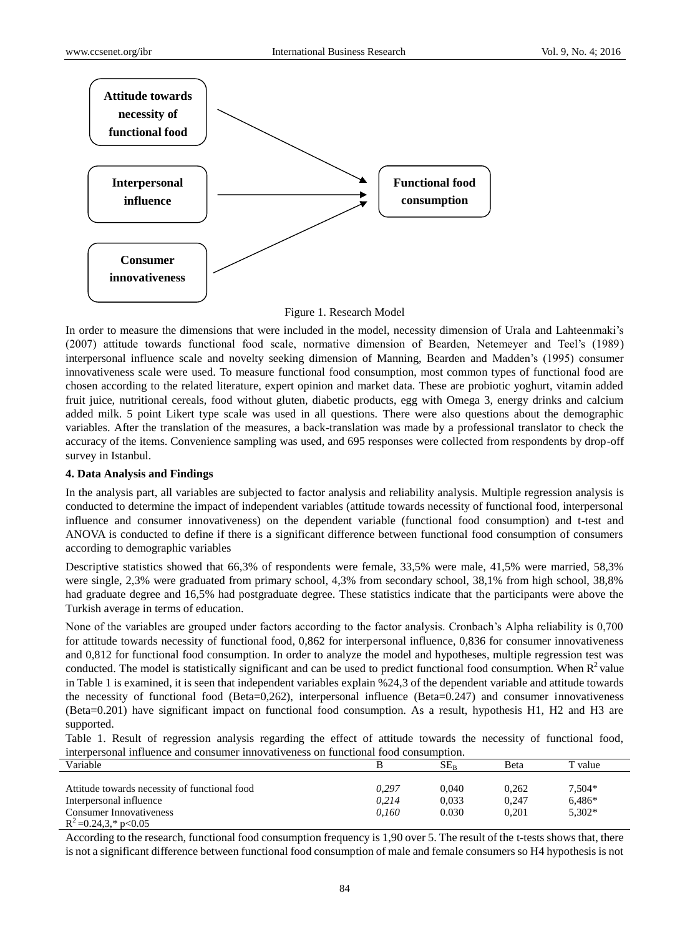

## Figure 1. Research Model

In order to measure the dimensions that were included in the model, necessity dimension of Urala and Lahteenmaki's (2007) attitude towards functional food scale, normative dimension of Bearden, Netemeyer and Teel's (1989) interpersonal influence scale and novelty seeking dimension of Manning, Bearden and Madden's (1995) consumer innovativeness scale were used. To measure functional food consumption, most common types of functional food are chosen according to the related literature, expert opinion and market data. These are probiotic yoghurt, vitamin added fruit juice, nutritional cereals, food without gluten, diabetic products, egg with Omega 3, energy drinks and calcium added milk. 5 point Likert type scale was used in all questions. There were also questions about the demographic variables. After the translation of the measures, a back-translation was made by a professional translator to check the accuracy of the items. Convenience sampling was used, and 695 responses were collected from respondents by drop-off survey in Istanbul.

## **4. Data Analysis and Findings**

In the analysis part, all variables are subjected to factor analysis and reliability analysis. Multiple regression analysis is conducted to determine the impact of independent variables (attitude towards necessity of functional food, interpersonal influence and consumer innovativeness) on the dependent variable (functional food consumption) and t-test and ANOVA is conducted to define if there is a significant difference between functional food consumption of consumers according to demographic variables

Descriptive statistics showed that 66,3% of respondents were female, 33,5% were male, 41,5% were married, 58,3% were single, 2,3% were graduated from primary school, 4,3% from secondary school, 38,1% from high school, 38,8% had graduate degree and 16,5% had postgraduate degree. These statistics indicate that the participants were above the Turkish average in terms of education.

None of the variables are grouped under factors according to the factor analysis. Cronbach's Alpha reliability is 0,700 for attitude towards necessity of functional food, 0,862 for interpersonal influence, 0,836 for consumer innovativeness and 0,812 for functional food consumption. In order to analyze the model and hypotheses, multiple regression test was conducted. The model is statistically significant and can be used to predict functional food consumption. When  $R^2$  value in Table 1 is examined, it is seen that independent variables explain %24,3 of the dependent variable and attitude towards the necessity of functional food (Beta=0,262), interpersonal influence (Beta=0.247) and consumer innovativeness (Beta=0.201) have significant impact on functional food consumption. As a result, hypothesis H1, H2 and H3 are supported.

Table 1. Result of regression analysis regarding the effect of attitude towards the necessity of functional food, interpersonal influence and consumer innovativeness on functional food consumption.

| Variable                                      |       | $SE_{B}$ | Beta  | T value  |
|-----------------------------------------------|-------|----------|-------|----------|
|                                               |       |          |       |          |
| Attitude towards necessity of functional food | 0.297 | 0.040    | 0.262 | $7.504*$ |
| Interpersonal influence                       | 0.214 | 0.033    | 0.247 | 6.486*   |
| Consumer Innovativeness                       | 0.160 | 0.030    | 0.201 | $5.302*$ |
| $R^2$ =0.24,3,* p<0.05                        |       |          |       |          |

According to the research, functional food consumption frequency is 1,90 over 5. The result of the t-tests shows that, there is not a significant difference between functional food consumption of male and female consumers so H4 hypothesis is not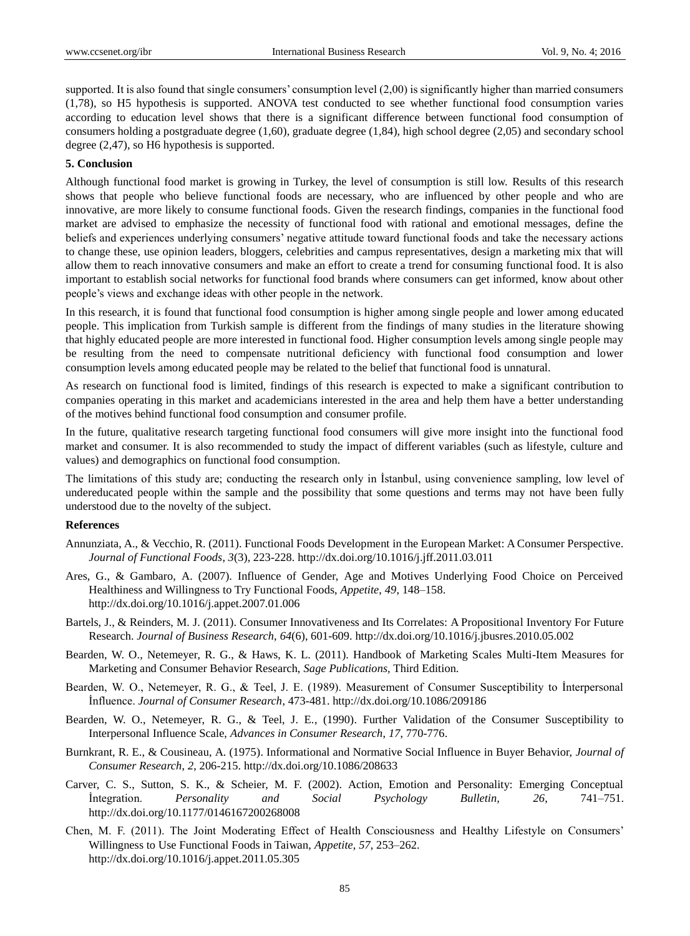supported. It is also found that single consumers' consumption level (2,00) is significantly higher than married consumers (1,78), so H5 hypothesis is supported. ANOVA test conducted to see whether functional food consumption varies according to education level shows that there is a significant difference between functional food consumption of consumers holding a postgraduate degree  $(1,60)$ , graduate degree  $(1,84)$ , high school degree  $(2,05)$  and secondary school degree (2,47), so H6 hypothesis is supported.

## **5. Conclusion**

Although functional food market is growing in Turkey, the level of consumption is still low. Results of this research shows that people who believe functional foods are necessary, who are influenced by other people and who are innovative, are more likely to consume functional foods. Given the research findings, companies in the functional food market are advised to emphasize the necessity of functional food with rational and emotional messages, define the beliefs and experiences underlying consumers' negative attitude toward functional foods and take the necessary actions to change these, use opinion leaders, bloggers, celebrities and campus representatives, design a marketing mix that will allow them to reach innovative consumers and make an effort to create a trend for consuming functional food. It is also important to establish social networks for functional food brands where consumers can get informed, know about other people's views and exchange ideas with other people in the network.

In this research, it is found that functional food consumption is higher among single people and lower among educated people. This implication from Turkish sample is different from the findings of many studies in the literature showing that highly educated people are more interested in functional food. Higher consumption levels among single people may be resulting from the need to compensate nutritional deficiency with functional food consumption and lower consumption levels among educated people may be related to the belief that functional food is unnatural.

As research on functional food is limited, findings of this research is expected to make a significant contribution to companies operating in this market and academicians interested in the area and help them have a better understanding of the motives behind functional food consumption and consumer profile.

In the future, qualitative research targeting functional food consumers will give more insight into the functional food market and consumer. It is also recommended to study the impact of different variables (such as lifestyle, culture and values) and demographics on functional food consumption.

The limitations of this study are; conducting the research only in İstanbul, using convenience sampling, low level of undereducated people within the sample and the possibility that some questions and terms may not have been fully understood due to the novelty of the subject.

## **References**

- Annunziata, A., & Vecchio, R. (2011). Functional Foods Development in the European Market: A Consumer Perspective. *Journal of Functional Foods*, *3*(3), 223-228. <http://dx.doi.org/10.1016/j.jff.2011.03.011>
- Ares, G., & Gambaro, A. (2007). Influence of Gender, Age and Motives Underlying Food Choice on Perceived Healthiness and Willingness to Try Functional Foods, *Appetite*, *49*, 148–158. <http://dx.doi.org/10.1016/j.appet.2007.01.006>
- Bartels, J., & Reinders, M. J. (2011). Consumer Innovativeness and Its Correlates: A Propositional Inventory For Future Research. *Journal of Business Research, 64*(6), 601-609. <http://dx.doi.org/10.1016/j.jbusres.2010.05.002>
- Bearden, W. O., Netemeyer, R. G., & Haws, K. L. (2011). Handbook of Marketing Scales Multi-Item Measures for Marketing and Consumer Behavior Research, *Sage Publications,* Third Edition.
- Bearden, W. O., Netemeyer, R. G., & Teel, J. E. (1989). Measurement of Consumer Susceptibility to İnterpersonal İnfluence. *Journal of Consumer Research*, 473-481. <http://dx.doi.org/10.1086/209186>
- Bearden, W. O., Netemeyer, R. G., & Teel, J. E., (1990). Further Validation of the Consumer Susceptibility to Interpersonal Influence Scale, *Advances in Consumer Research*, *17*, 770-776.
- Burnkrant, R. E., & Cousineau, A. (1975). Informational and Normative Social Influence in Buyer Behavior, *Journal of Consumer Research*, *2*, 206-215. <http://dx.doi.org/10.1086/208633>
- Carver, C. S., Sutton, S. K., & Scheier, M. F. (2002). Action, Emotion and Personality: Emerging Conceptual İntegration. *Personality and Social Psychology Bulletin, 26*, 741–751. <http://dx.doi.org/10.1177/0146167200268008>
- Chen, M. F. (2011). The Joint Moderating Effect of Health Consciousness and Healthy Lifestyle on Consumers' Willingness to Use Functional Foods in Taiwan, *Appetite*, *57*, 253–262. <http://dx.doi.org/10.1016/j.appet.2011.05.305>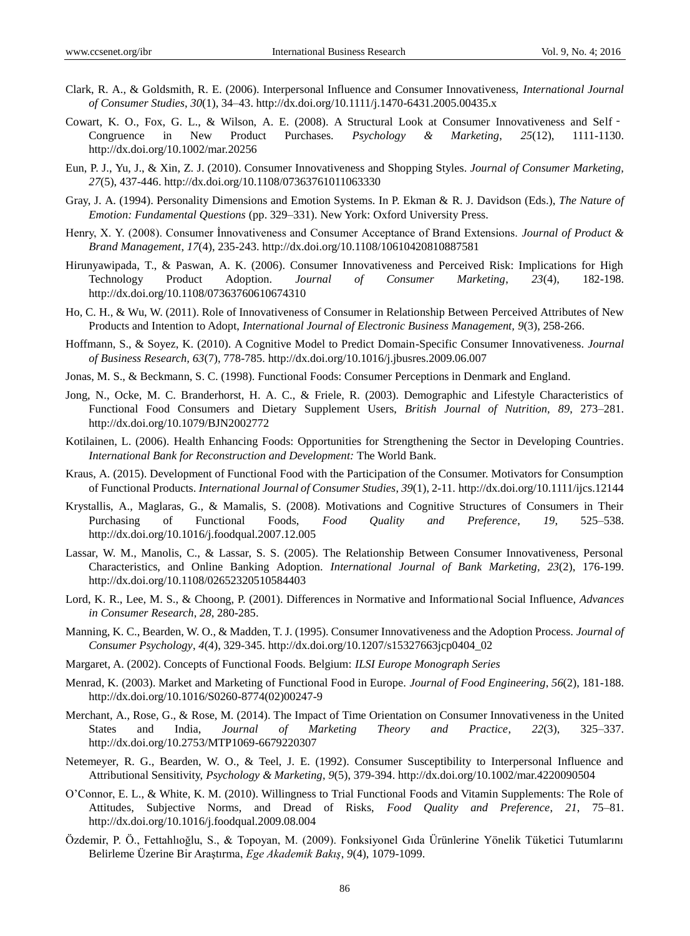- Clark, R. A., & Goldsmith, R. E. (2006). Interpersonal Influence and Consumer Innovativeness, *International Journal of Consumer Studies*, *30*(1), 34–43. <http://dx.doi.org/10.1111/j.1470-6431.2005.00435.x>
- Cowart, K. O., Fox, G. L., & Wilson, A. E. (2008). A Structural Look at Consumer Innovativeness and Self‐ Congruence in New Product Purchases. *Psychology & Marketing*, *25*(12), 1111-1130. <http://dx.doi.org/10.1002/mar.20256>
- Eun, P. J., Yu, J., & Xin, Z. J. (2010). Consumer Innovativeness and Shopping Styles. *Journal of Consumer Marketing, 27*(5), 437-446. <http://dx.doi.org/10.1108/07363761011063330>
- Gray, J. A. (1994). Personality Dimensions and Emotion Systems. In P. Ekman & R. J. Davidson (Eds.), *The Nature of Emotion: Fundamental Questions* (pp. 329–331). New York: Oxford University Press.
- Henry, X. Y. (2008). Consumer İnnovativeness and Consumer Acceptance of Brand Extensions. *Journal of Product & Brand Management*, *17*(4), 235-243. <http://dx.doi.org/10.1108/10610420810887581>
- Hirunyawipada, T., & Paswan, A. K. (2006). Consumer Innovativeness and Perceived Risk: Implications for High Technology Product Adoption. *Journal of Consumer Marketing*, *23*(4), 182-198. <http://dx.doi.org/10.1108/07363760610674310>
- Ho, C. H., & Wu, W. (2011). Role of Innovativeness of Consumer in Relationship Between Perceived Attributes of New Products and Intention to Adopt, *International Journal of Electronic Business Management, 9*(3), 258-266.
- Hoffmann, S., & Soyez, K. (2010). A Cognitive Model to Predict Domain-Specific Consumer Innovativeness. *Journal of Business Research, 63*(7), 778-785. <http://dx.doi.org/10.1016/j.jbusres.2009.06.007>
- Jonas, M. S., & Beckmann, S. C. (1998). Functional Foods: Consumer Perceptions in Denmark and England.
- Jong, N., Ocke, M. C. Branderhorst, H. A. C., & Friele, R. (2003). Demographic and Lifestyle Characteristics of Functional Food Consumers and Dietary Supplement Users, *British Journal of Nutrition, 89*, 273–281. <http://dx.doi.org/10.1079/BJN2002772>
- Kotilainen, L. (2006). Health Enhancing Foods: Opportunities for Strengthening the Sector in Developing Countries. *International Bank for Reconstruction and Development:* The World Bank.
- Kraus, A. (2015). Development of Functional Food with the Participation of the Consumer. Motivators for Consumption of Functional Products. *International Journal of Consumer Studies*, *39*(1), 2-11. <http://dx.doi.org/10.1111/ijcs.12144>
- Krystallis, A., Maglaras, G., & Mamalis, S. (2008). Motivations and Cognitive Structures of Consumers in Their Purchasing of Functional Foods, *Food Quality and Preference*, *19*, 525–538. <http://dx.doi.org/10.1016/j.foodqual.2007.12.005>
- Lassar, W. M., Manolis, C., & Lassar, S. S. (2005). The Relationship Between Consumer Innovativeness, Personal Characteristics, and Online Banking Adoption. *International Journal of Bank Marketing, 23*(2), 176-199. <http://dx.doi.org/10.1108/02652320510584403>
- Lord, K. R., Lee, M. S., & Choong, P. (2001). Differences in Normative and Informational Social Influence, *Advances in Consumer Research*, *28*, 280-285.
- Manning, K. C., Bearden, W. O., & Madden, T. J. (1995). Consumer Innovativeness and the Adoption Process. *Journal of Consumer Psychology*, *4*(4), 329-345. [http://dx.doi.org/10.1207/s15327663jcp0404\\_02](http://dx.doi.org/10.1207/s15327663jcp0404_02)
- Margaret, A. (2002). Concepts of Functional Foods. Belgium: *ILSI Europe Monograph Series*
- Menrad, K. (2003). Market and Marketing of Functional Food in Europe. *Journal of Food Engineering*, *56*(2), 181-188. [http://dx.doi.org/10.1016/S0260-8774\(02\)00247-9](http://dx.doi.org/10.1016/S0260-8774%2802%2900247-9)
- Merchant, A., Rose, G., & Rose, M. (2014). The Impact of Time Orientation on Consumer Innovativeness in the United States and India, *Journal of Marketing Theory and Practice*, *22*(3), 325–337. <http://dx.doi.org/10.2753/MTP1069-6679220307>
- Netemeyer, R. G., Bearden, W. O., & Teel, J. E. (1992). Consumer Susceptibility to Interpersonal Influence and Attributional Sensitivity, *Psychology & Marketing*, *9*(5), 379-394. <http://dx.doi.org/10.1002/mar.4220090504>
- O'Connor, E. L., & White, K. M. (2010). Willingness to Trial Functional Foods and Vitamin Supplements: The Role of Attitudes, Subjective Norms, and Dread of Risks, *Food Quality and Preference*, *21*, 75–81. <http://dx.doi.org/10.1016/j.foodqual.2009.08.004>
- Özdemir, P. Ö., Fettahlıoğlu, S., & Topoyan, M. (2009). Fonksiyonel Gıda Ürünlerine Yönelik Tüketici Tutumlarını Belirleme Üzerine Bir Araştırma, *Ege Akademik Bakış*, *9*(4), 1079-1099.